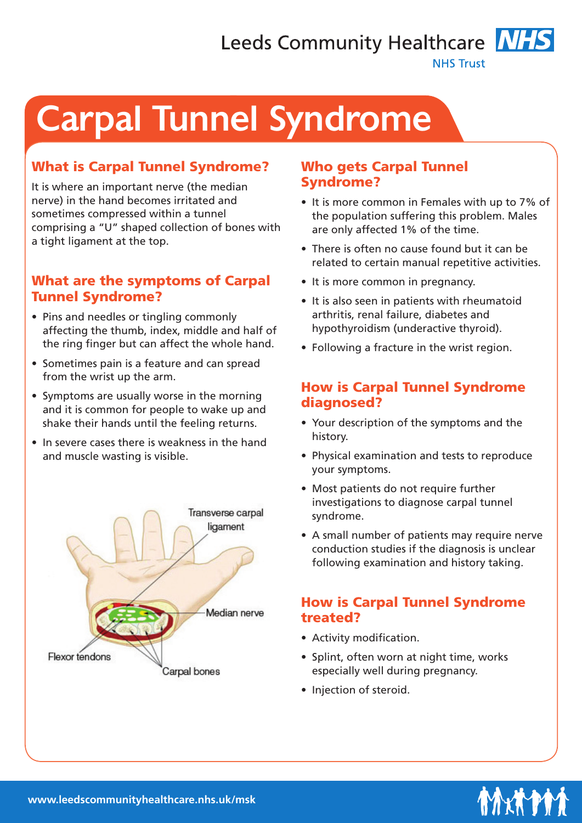Leeds Community Healthcare NHS

**NHS Trust** 

# Carpal Tunnel Syndrome

## What is Carpal Tunnel Syndrome?

It is where an important nerve (the median nerve) in the hand becomes irritated and sometimes compressed within a tunnel comprising a "U" shaped collection of bones with a tight ligament at the top.

#### What are the symptoms of Carpal Tunnel Syndrome?

- Pins and needles or tingling commonly affecting the thumb, index, middle and half of the ring finger but can affect the whole hand.
- Sometimes pain is a feature and can spread from the wrist up the arm.
- Symptoms are usually worse in the morning and it is common for people to wake up and shake their hands until the feeling returns.
- In severe cases there is weakness in the hand and muscle wasting is visible.



#### Who gets Carpal Tunnel Syndrome?

- It is more common in Females with up to 7% of the population suffering this problem. Males are only affected 1% of the time.
- There is often no cause found but it can be related to certain manual repetitive activities.
- It is more common in pregnancy.
- It is also seen in patients with rheumatoid arthritis, renal failure, diabetes and hypothyroidism (underactive thyroid).
- Following a fracture in the wrist region.

#### How is Carpal Tunnel Syndrome diagnosed?

- Your description of the symptoms and the history.
- Physical examination and tests to reproduce your symptoms.
- Most patients do not require further investigations to diagnose carpal tunnel syndrome.
- A small number of patients may require nerve conduction studies if the diagnosis is unclear following examination and history taking.

#### How is Carpal Tunnel Syndrome treated?

- Activity modification.
- Splint, often worn at night time, works especially well during pregnancy.
- Injection of steroid.